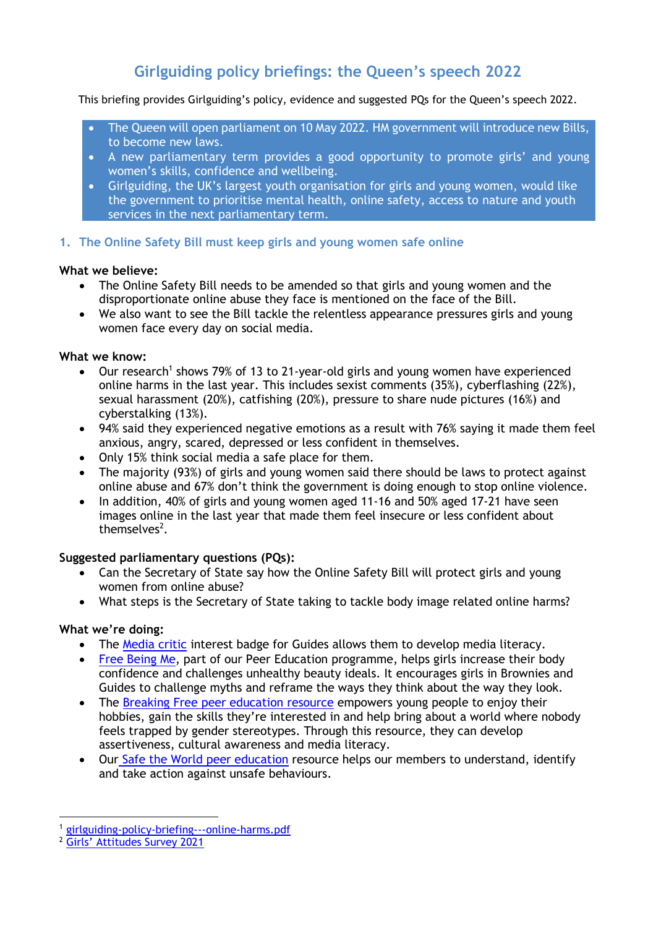# **Girlguiding policy briefings: the Queen's speech 2022**

This briefing provides Girlguiding's policy, evidence and suggested PQs for the Queen's speech 2022.

- The Queen will open parliament on 10 May 2022. HM government will introduce new Bills, to become new laws.
- A new parliamentary term provides a good opportunity to promote girls' and young women's skills, confidence and wellbeing.
- Girlguiding, the UK's largest youth organisation for girls and young women, would like the government to prioritise mental health, online safety, access to nature and youth services in the next parliamentary term.

# **1. The Online Safety Bill must keep girls and young women safe online**

# **What we believe:**

- The Online Safety Bill needs to be amended so that girls and young women and the disproportionate online abuse they face is mentioned on the face of the Bill.
- We also want to see the Bill tackle the relentless appearance pressures girls and young women face every day on social media.

# **What we know:**

- Our research<sup>1</sup> shows 79% of 13 to 21-year-old girls and young women have experienced online harms in the last year. This includes sexist comments (35%), cyberflashing (22%), sexual harassment (20%), catfishing (20%), pressure to share nude pictures (16%) and cyberstalking (13%).
- 94% said they experienced negative emotions as a result with 76% saying it made them feel anxious, angry, scared, depressed or less confident in themselves.
- Only 15% think social media a safe place for them.
- The majority (93%) of girls and young women said there should be laws to protect against online abuse and 67% don't think the government is doing enough to stop online violence.
- In addition, 40% of girls and young women aged 11-16 and 50% aged 17-21 have seen images online in the last year that made them feel insecure or less confident about themselves<sup>2</sup>.

# **Suggested parliamentary questions (PQs):**

- Can the Secretary of State say how the Online Safety Bill will protect girls and young women from online abuse?
- What steps is the Secretary of State taking to tackle body image related online harms?

# **What we're doing:**

- The [Media critic](https://www.girlguiding.org.uk/what-we-do/our-badges-and-activities/badge-finder/media-critic/) interest badge for Guides allows them to develop media literacy.
- [Free Being Me,](https://www.girlguiding.org.uk/making-guiding-happen/programme-and-activities/peer-education/what-is-peer-education/free-being-me/) part of our Peer Education programme, helps girls increase their body confidence and challenges unhealthy beauty ideals. It encourages girls in Brownies and Guides to challenge myths and reframe the ways they think about the way they look.
- The [Breaking Free peer education resource](Breaking%20Free%20peer%20education%20resource) empowers young people to enjoy their hobbies, gain the skills they're interested in and help bring about a world where nobody feels trapped by gender stereotypes. Through this resource, they can develop assertiveness, cultural awareness and media literacy.
- Our [Safe the World peer education](https://www.girlguiding.org.uk/making-guiding-happen/programme-and-activities/peer-education/what-is-peer-education/safe-the-world/#:~:text=Welcome%20to%20Safe%20the%20world,a%20safer%20world%20for%20everyone.) resource helps our members to understand, identify and take action against unsafe behaviours.

[girlguiding-policy-briefing---online-harms.pdf](https://www.girlguiding.org.uk/globalassets/docs-and-resources/research-and-campaigns/girlguiding-policy-briefing---online-harms.pdf)

<sup>2</sup> G[irls' Attitudes Survey 2021](https://www.girlguiding.org.uk/globalassets/docs-and-resources/research-and-campaigns/girls-attitudes-survey-2021-report.pdf)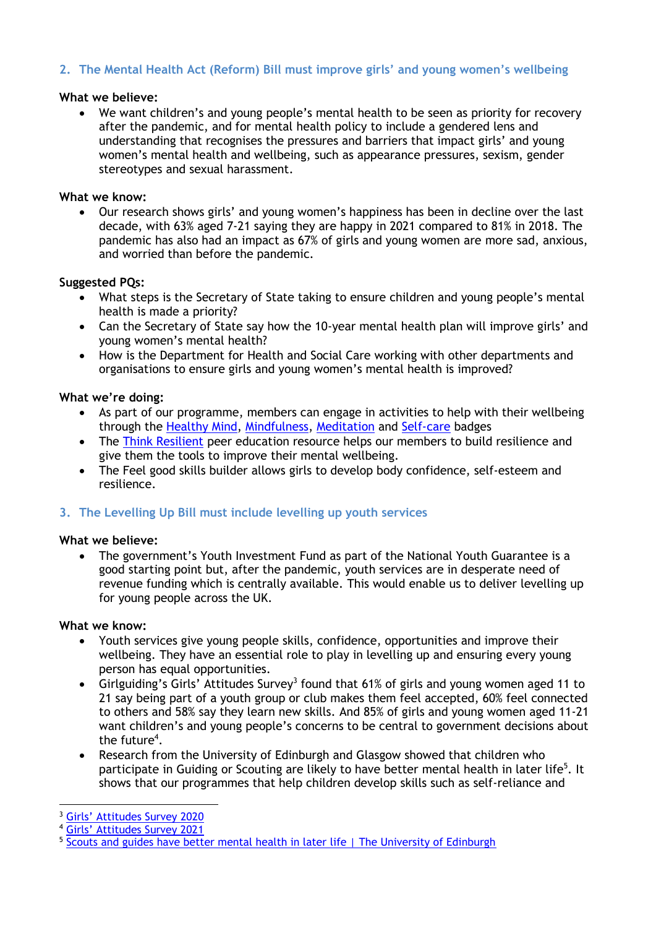# **2. The Mental Health Act (Reform) Bill must improve girls' and young women's wellbeing**

#### **What we believe:**

• We want children's and young people's mental health to be seen as priority for recovery after the pandemic, and for mental health policy to include a gendered lens and understanding that recognises the pressures and barriers that impact girls' and young women's mental health and wellbeing, such as appearance pressures, sexism, gender stereotypes and sexual harassment.

#### **What we know:**

• Our research shows girls' and young women's happiness has been in decline over the last decade, with 63% aged 7-21 saying they are happy in 2021 compared to 81% in 2018. The pandemic has also had an impact as 67% of girls and young women are more sad, anxious, and worried than before the pandemic.

#### **Suggested PQs:**

- What steps is the Secretary of State taking to ensure children and young people's mental health is made a priority?
- Can the Secretary of State say how the 10-year mental health plan will improve girls' and young women's mental health?
- How is the Department for Health and Social Care working with other departments and organisations to ensure girls and young women's mental health is improved?

## **What we're doing:**

- As part of our programme, members can engage in activities to help with their wellbeing through the [Healthy Mind,](https://www.girlguiding.org.uk/what-we-do/our-badges-and-activities/badge-finder/healthy-mind/) [Mindfulness,](https://www.girlguiding.org.uk/what-we-do/our-badges-and-activities/badge-finder/mindfulness/) [Meditation](https://www.girlguiding.org.uk/what-we-do/our-badges-and-activities/badge-finder/meditation/) and [Self-care](https://www.girlguiding.org.uk/what-we-do/our-badges-and-activities/badge-finder/self-care/) badges
- The [Think Resilient](https://www.girlguiding.org.uk/making-guiding-happen/programme-and-activities/peer-education/what-is-peer-education/think-resilient/) peer education resource helps our members to build resilience and give them the tools to improve their mental wellbeing.
- The Feel good skills builder allows girls to develop body confidence, self-esteem and resilience.

## **3. The Levelling Up Bill must include levelling up youth services**

#### **What we believe:**

• The government's Youth Investment Fund as part of the National Youth Guarantee is a good starting point but, after the pandemic, youth services are in desperate need of revenue funding which is centrally available. This would enable us to deliver levelling up for young people across the UK.

#### **What we know:**

- Youth services give young people skills, confidence, opportunities and improve their wellbeing. They have an essential role to play in levelling up and ensuring every young person has equal opportunities.
- Girlguiding's Girls' Attitudes Survey<sup>3</sup> found that 61% of girls and young women aged 11 to 21 say being part of a youth group or club makes them feel accepted, 60% feel connected to others and 58% say they learn new skills. And 85% of girls and young women aged 11-21 want children's and young people's concerns to be central to government decisions about the future<sup>4</sup>.
- Research from the University of Edinburgh and Glasgow showed that children who participate in Guiding or Scouting are likely to have better mental health in later life<sup>5</sup>. It shows that our programmes that help children develop skills such as self-reliance and

<sup>3</sup> Girls' Att[itudes Survey 2020](https://www.girlguiding.org.uk/globalassets/docs-and-resources/research-and-campaigns/girls-attitudes-survey-2020.pdf)

<sup>4</sup> G[irls' Attitudes Survey 2021](https://www.girlguiding.org.uk/globalassets/docs-and-resources/research-and-campaigns/girls-attitudes-survey-2021-report.pdf)

<sup>5</sup> [Scouts and guides have better mental health in later life | The University of Edinburgh](https://www.ed.ac.uk/news/2016/scouts-and-guides-have-better-mental-health-in-la#:~:text=Taking%20part%20in%20the%20scouts%20or%20guides%20appears,mental%20health%20in%20middle%20age%2C%20the%20findings%20show.)